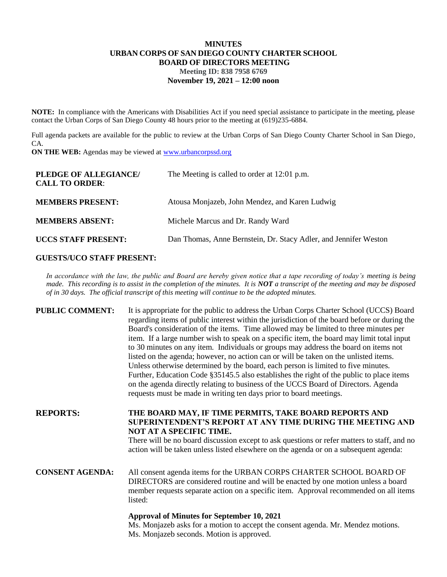# **MINUTES URBAN CORPS OF SAN DIEGO COUNTY CHARTER SCHOOL BOARD OF DIRECTORS MEETING Meeting ID: 838 7958 6769 November 19, 2021 – 12:00 noon**

**NOTE:** In compliance with the Americans with Disabilities Act if you need special assistance to participate in the meeting, please contact the Urban Corps of San Diego County 48 hours prior to the meeting at (619)235-6884.

Full agenda packets are available for the public to review at the Urban Corps of San Diego County Charter School in San Diego, CA.

**ON THE WEB:** Agendas may be viewed at **www.urbancorpssd.org** 

| PLEDGE OF ALLEGIANCE/<br><b>CALL TO ORDER:</b> | The Meeting is called to order at 12:01 p.m.                     |
|------------------------------------------------|------------------------------------------------------------------|
| <b>MEMBERS PRESENT:</b>                        | Atousa Monjazeb, John Mendez, and Karen Ludwig                   |
| <b>MEMBERS ABSENT:</b>                         | Michele Marcus and Dr. Randy Ward                                |
| <b>UCCS STAFF PRESENT:</b>                     | Dan Thomas, Anne Bernstein, Dr. Stacy Adler, and Jennifer Weston |

# **GUESTS/UCO STAFF PRESENT:**

*In accordance with the law, the public and Board are hereby given notice that a tape recording of today's meeting is being made. This recording is to assist in the completion of the minutes. It is NOT a transcript of the meeting and may be disposed of in 30 days. The official transcript of this meeting will continue to be the adopted minutes.*

| <b>PUBLIC COMMENT:</b> | It is appropriate for the public to address the Urban Corps Charter School (UCCS) Board      |
|------------------------|----------------------------------------------------------------------------------------------|
|                        | regarding items of public interest within the jurisdiction of the board before or during the |
|                        | Board's consideration of the items. Time allowed may be limited to three minutes per         |
|                        | item. If a large number wish to speak on a specific item, the board may limit total input    |
|                        | to 30 minutes on any item. Individuals or groups may address the board on items not          |
|                        | listed on the agenda; however, no action can or will be taken on the unlisted items.         |
|                        | Unless otherwise determined by the board, each person is limited to five minutes.            |
|                        | Further, Education Code §35145.5 also establishes the right of the public to place items     |
|                        | on the agenda directly relating to business of the UCCS Board of Directors. Agenda           |
|                        | requests must be made in writing ten days prior to board meetings.                           |

**REPORTS: THE BOARD MAY, IF TIME PERMITS, TAKE BOARD REPORTS AND SUPERINTENDENT'S REPORT AT ANY TIME DURING THE MEETING AND NOT AT A SPECIFIC TIME.**

> There will be no board discussion except to ask questions or refer matters to staff, and no action will be taken unless listed elsewhere on the agenda or on a subsequent agenda:

**CONSENT AGENDA:** All consent agenda items for the URBAN CORPS CHARTER SCHOOL BOARD OF DIRECTORS are considered routine and will be enacted by one motion unless a board member requests separate action on a specific item. Approval recommended on all items listed:

### **Approval of Minutes for September 10, 2021**

Ms. Monjazeb asks for a motion to accept the consent agenda. Mr. Mendez motions. Ms. Monjazeb seconds. Motion is approved.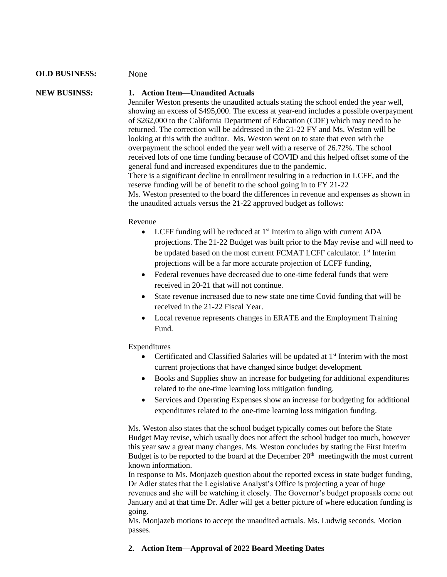### **OLD BUSINESS:** None

# **NEW BUSINSS: 1. Action Item—Unaudited Actuals**

Jennifer Weston presents the unaudited actuals stating the school ended the year well, showing an excess of \$495,000. The excess at year-end includes a possible overpayment of \$262,000 to the California Department of Education (CDE) which may need to be returned. The correction will be addressed in the 21-22 FY and Ms. Weston will be looking at this with the auditor. Ms. Weston went on to state that even with the overpayment the school ended the year well with a reserve of 26.72%. The school received lots of one time funding because of COVID and this helped offset some of the general fund and increased expenditures due to the pandemic. There is a significant decline in enrollment resulting in a reduction in LCFF, and the reserve funding will be of benefit to the school going in to FY 21-22 Ms. Weston presented to the board the differences in revenue and expenses as shown in the unaudited actuals versus the 21-22 approved budget as follows:

### Revenue

- LCFF funding will be reduced at  $1<sup>st</sup>$  Interim to align with current ADA projections. The 21-22 Budget was built prior to the May revise and will need to be updated based on the most current FCMAT LCFF calculator. 1<sup>st</sup> Interim projections will be a far more accurate projection of LCFF funding,
- Federal revenues have decreased due to one-time federal funds that were received in 20-21 that will not continue.
- State revenue increased due to new state one time Covid funding that will be received in the 21-22 Fiscal Year.
- Local revenue represents changes in ERATE and the Employment Training Fund.

### Expenditures

- Certificated and Classified Salaries will be updated at 1st Interim with the most current projections that have changed since budget development.
- Books and Supplies show an increase for budgeting for additional expenditures related to the one-time learning loss mitigation funding.
- Services and Operating Expenses show an increase for budgeting for additional expenditures related to the one-time learning loss mitigation funding.

Ms. Weston also states that the school budget typically comes out before the State Budget May revise, which usually does not affect the school budget too much, however this year saw a great many changes. Ms. Weston concludes by stating the First Interim Budget is to be reported to the board at the December  $20<sup>th</sup>$  meetingwith the most current known information.

In response to Ms. Monjazeb question about the reported excess in state budget funding, Dr Adler states that the Legislative Analyst's Office is projecting a year of huge revenues and she will be watching it closely. The Governor's budget proposals come out January and at that time Dr. Adler will get a better picture of where education funding is going.

Ms. Monjazeb motions to accept the unaudited actuals. Ms. Ludwig seconds. Motion passes.

### **2. Action Item—Approval of 2022 Board Meeting Dates**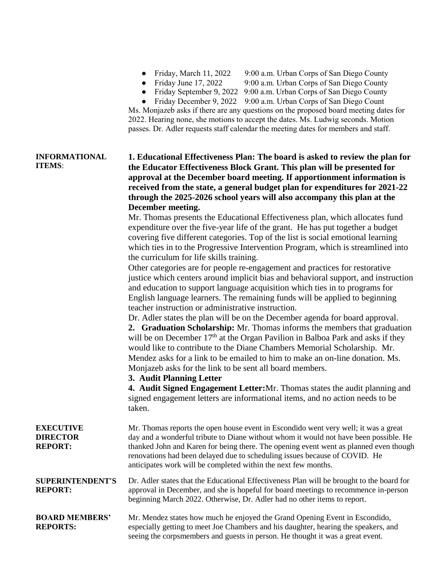- Friday, March 11, 2022 9:00 a.m. Urban Corps of San Diego County
- Friday June 17, 2022 9:00 a.m. Urban Corps of San Diego County
- Friday September 9, 2022 9:00 a.m. Urban Corps of San Diego County
- Friday December 9, 2022 9:00 a.m. Urban Corps of San Diego Count

Ms. Monjazeb asks if there are any questions on the proposed board meeting dates for 2022. Hearing none, she motions to accept the dates. Ms. Ludwig seconds. Motion passes. Dr. Adler requests staff calendar the meeting dates for members and staff.

#### **INFORMATIONAL ITEMS**: **1. Educational Effectiveness Plan: The board is asked to review the plan for the Educator Effectiveness Block Grant. This plan will be presented for approval at the December board meeting. If apportionment information is received from the state, a general budget plan for expenditures for 2021-22 through the 2025-2026 school years will also accompany this plan at the December meeting.**

Mr. Thomas presents the Educational Effectiveness plan, which allocates fund expenditure over the five-year life of the grant. He has put together a budget covering five different categories. Top of the list is social emotional learning which ties in to the Progressive Intervention Program, which is streamlined into the curriculum for life skills training.

Other categories are for people re-engagement and practices for restorative justice which centers around implicit bias and behavioral support, and instruction and education to support language acquisition which ties in to programs for English language learners. The remaining funds will be applied to beginning teacher instruction or administrative instruction.

Dr. Adler states the plan will be on the December agenda for board approval.

**2. Graduation Scholarship:** Mr. Thomas informs the members that graduation will be on December  $17<sup>th</sup>$  at the Organ Pavilion in Balboa Park and asks if they would like to contribute to the Diane Chambers Memorial Scholarship. Mr. Mendez asks for a link to be emailed to him to make an on-line donation. Ms. Monjazeb asks for the link to be sent all board members.

# **3. Audit Planning Letter**

**4. Audit Signed Engagement Letter:**Mr. Thomas states the audit planning and signed engagement letters are informational items, and no action needs to be taken.

| <b>EXECUTIVE</b><br><b>DIRECTOR</b><br><b>REPORT:</b> | Mr. Thomas reports the open house event in Escondido went very well; it was a great<br>day and a wonderful tribute to Diane without whom it would not have been possible. He<br>thanked John and Karen for being there. The opening event went as planned even though<br>renovations had been delayed due to scheduling issues because of COVID. He<br>anticipates work will be completed within the next few months. |
|-------------------------------------------------------|-----------------------------------------------------------------------------------------------------------------------------------------------------------------------------------------------------------------------------------------------------------------------------------------------------------------------------------------------------------------------------------------------------------------------|
| <b>SUPERINTENDENT'S</b><br><b>REPORT:</b>             | Dr. Adler states that the Educational Effectiveness Plan will be brought to the board for<br>approval in December, and she is hopeful for board meetings to recommence in-person<br>beginning March 2022. Otherwise, Dr. Adler had no other items to report.                                                                                                                                                          |
| <b>BOARD MEMBERS'</b><br><b>REPORTS:</b>              | Mr. Mendez states how much he enjoyed the Grand Opening Event in Escondido,<br>especially getting to meet Joe Chambers and his daughter, hearing the speakers, and<br>seeing the corpsmembers and guests in person. He thought it was a great event.                                                                                                                                                                  |